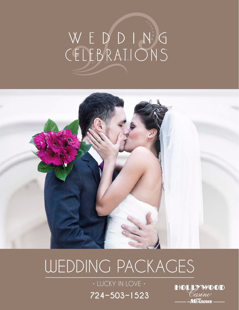# WEDDING<br>CELEBRATIONS



# WEDDING PACKAGES

**724-503-1523** • LUCKY IN LOVE •

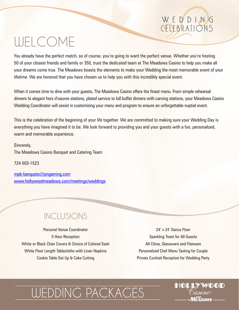# WELCOME

You already have the perfect match, so of course, you're going to want the perfect venue. Whether you're hosting 50 of your closest friends and family or 350, trust the dedicated team at The Meadows Casino to help you make all your dreams come true. The Meadows boasts the elements to make your Wedding the most memorable event of your lifetime. We are honored that you have chosen us to help you with this incredibly special event.

When it comes time to dine with your guests, The Meadows Casino offers the finest menu. From simple rehearsal dinners to elegant hors d'oeuvre stations, plated service to full buffet dinners with carving stations, your Meadows Casino Wedding Coordinator will assist in customizing your menu and program to ensure an unforgettable nuptial event.

This is the celebration of the beginning of your life together. We are committed to making sure your Wedding Day is everything you have imagined it to be. We look forward to providing you and your guests with a fun, personalized, warm and memorable experience.

Sincerely, The Meadows Casino Banquet and Catering Team

724-503-1523

mpb-banquets@pngaming.com www.hollywoodmeadows.com/meetings/weddings

### INCLUSIONS

Personal Venue Coordinator 5 Hour Reception White or Black Chair Covers & Choice of Colored Sash White Floor Length Tablecloths with Linen Napkins Cookie Table Set Up & Cake Cutting

24' x 24' Dance Floor Sparkling Toast for All Guests All China, Glassware and Flatware Personalized Chef Menu Tasting for Couple Private Cocktail Reception for Wedding Party

CELEBRATIONS

WEDDING

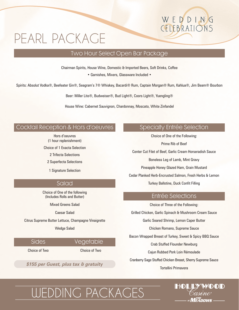# PEARL PACKAGE

### Two Hour Select Open Bar Package

Chairman Spirits, House Wine, Domestic & Imported Beers, Soft Drinks, Coffee

• Garnishes, Mixers, Glassware Included •

Spirits: Absolut Vodka®, Beefeater Gin®, Seagram's 7® Whiskey, Bacardi® Rum, Captain Morgan® Rum, Kahlua®, Jim Beam® Bourbon

Beer: Miller Lite®, Budweiser®, Bud Light®, Coors Light®, Yuengling®

House Wine: Cabernet Sauvignon, Chardonnay, Moscato, White Zinfandel

### Cocktail Reception & Hors d'oeuvres

Hors d'oeuvres (1 hour replenishment)

Choice of 1 Exacta Selection

2 Trifecta Selections

2 Superfecta Selections

1 Signature Selection

### Salad

Choice of One of the following (Includes Rolls and Butter)

Mixed Greens Salad

Caesar Salad

Citrus Supreme Butter Lettuce, Champagne Vinaigrette

Wedge Salad

Sides Vegetable

Choice of Two Choice of Two

Tortellini Primavera *\$155 per Guest, plus tax & gratuity*

### Specialty Entrée Selection

CELEBRATIONS

WEDDING

Choice of One of the Following: Prime Rib of Beef Center Cut Filet of Beef, Garlic Cream Horseradish Sauce Boneless Leg of Lamb, Mint Gravy Pineapple Honey Glazed Ham, Grain Mustard Cedar Planked Herb-Encrusted Salmon, Fresh Herbs & Lemon Turkey Ballotine, Duck Confit Filling

### Entrée Selections

Choice of Three of the Following: Grilled Chicken, Garlic Spinach & Mushroom Cream Sauce Garlic Seared Shrimp, Lemon Caper Butter Chicken Romano, Supreme Sauce Bacon Wrapped Breast of Turkey, Sweet & Spicy BBQ Sauce Crab Stuffed Flounder Newburg Cajun Rubbed Pork Loin Rémoulade Cranberry Sage Stuffed Chicken Breast, Sherry Supreme Sauce



# WEDDING PACKAGES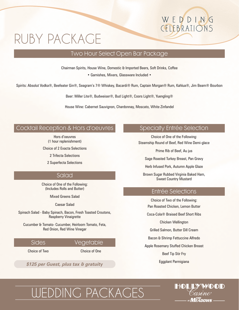# RUBY PACKAGE

### Two Hour Select Open Bar Package

Chairman Spirits, House Wine, Domestic & Imported Beers, Soft Drinks, Coffee

• Garnishes, Mixers, Glassware Included •

Spirits: Absolut Vodka®, Beefeater Gin®, Seagram's 7® Whiskey, Bacardi® Rum, Captain Morgan® Rum, Kahlua®, Jim Beam® Bourbon

Beer: Miller Lite®, Budweiser®, Bud Light®, Coors Light®, Yuengling®

House Wine: Cabernet Sauvignon, Chardonnay, Moscato, White Zinfandel

### Cocktail Reception & Hors d'oeuvres

Hors d'oeuvres (1 hour replenishment)

Choice of 2 Exacta Selections

2 Trifecta Selections

2 Superfecta Selections

### Salad

Choice of One of the Following: (Includes Rolls and Butter)

Mixed Greens Salad

Caesar Salad

Spinach Salad - Baby Spinach, Bacon, Fresh Toasted Croutons, Raspberry Vinaigrette

Cucumber & Tomato- Cucumber, Heirloom Tomato, Feta, Red Onion, Red Wine Vinegar

Sides Vegetable

Choice of Two Choice of One

*\$125 per Guest, plus tax & gratuity*

### Specialty Entrée Selection

CELEBRATIONS

WEDDING

Choice of One of the Following: Steamship Round of Beef, Red Wine Demi-glace

Prime Rib of Beef, Au jus

Sage Roasted Turkey Breast, Pan Gravy

Herb Infused Pork, Autumn Apple Glaze

Brown Sugar Rubbed Virginia Baked Ham, Sweet Country Mustard

### Entrée Selections

Choice of Two of the Following:

Pan Roasted Chicken, Lemon Butter

Coca-Cola® Braised Beef Short Ribs

Chicken Wellington

Grilled Salmon, Butter Dill Cream

Bacon & Shrimp Fettuccine Alfredo

Apple Rosemary Stuffed Chicken Breast

Beef Tip Stir Fry

Eggplant Parmigiana

# WEDDING PACKAGES

# $\bm{M^{THE}_{F\bm{A}}}$ nnwe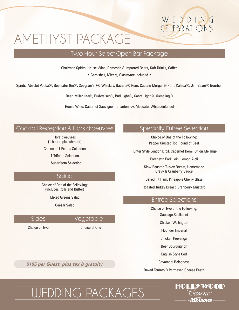# AMETHYST PACKAGE

### Two Hour Select Open Bar Package

Chairman Spirits, House Wine, Domestic & Imported Beers, Soft Drinks, Coffee

• Garnishes, Mixers, Glassware Included •

Spirits: Absolut Vodka®, Beefeater Gin®, Seagram's 7® Whiskey, Bacardi® Rum, Captain Morgan® Rum, Kahlua®, Jim Beam® Bourbon

Beer: Miller Lite®, Budweiser®, Bud Light®, Coors Light®, Yuengling®

House Wine: Cabernet Sauvignon, Chardonnay, Moscato, White Zinfandel

### Cocktail Reception & Hors d'oeuvres

Hors d'oeuvres

(1 hour replenishment)

Choice of 1 Exacta Selection

1 Trifecta Selection

1 Superfecta Selection

### Salad

Choice of One of the Following: (Includes Rolls and Butter)

Mixed Greens Salad

Caesar Salad

### Sides Vegetable

Choice of Two Choice of One

WEDDING PACKAGES

*\$105 per Guest, plus tax & gratuity*

### Specialty Entrée Selection

CELEBRATIONS

WEDDING

Choice of One of the Following: Pepper Crusted Top Round of Beef

Hunter Style London Broil, Cabernet Demi, Onion Mélange

Porchetta Pork Loin, Lemon Aioli

Slow Roasted Turkey Breast, Homemade Gravy & Cranberry Sauce

Baked Pit Ham, Pineapple Cherry Glaze

Roasted Turkey Breast, Cranberry Mustard

### Entrée Selections

Choice of Two of the Following:

Sausage Scallopini

Chicken Wellington

Flounder Imperial

Chicken Provençal

Beef Bourguignon

English Style Cod

Cavatappi Bolognese

Baked Tomato & Parmesan Cheese Pasta

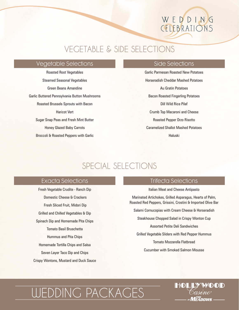# WEDDING CELEBRATIONS

### VEGETABLE & SIDE SELECTIONS

### Vegetable Selections

Roasted Root Vegetables Steamed Seasonal Vegetables Green Beans Amandine Garlic Buttered Pennsylvania Button Mushrooms Roasted Brussels Sprouts with Bacon Haricot Vert Sugar Snap Peas and Fresh Mint Butter Honey Glazed Baby Carrots Broccoli & Roasted Peppers with Garlic

### Side Selections

Garlic Parmesan Roasted New Potatoes Horseradish Cheddar Mashed Potatoes Au Gratin Potatoes Bacon Roasted Fingerling Potatoes Dill Wild Rice Pilaf Crumb Top Macaroni and Cheese Roasted Pepper Orzo Risotto Caramelized Shallot Mashed Potatoes Haluski

### SPECIAL SELECTIONS

### Exacta Selections

Fresh Vegetable Crudite - Ranch Dip Domestic Cheese & Crackers Fresh Sliced Fruit, Midori Dip Grilled and Chilled Vegetables & Dip Spinach Dip and Homemade Pita Chips Tomato Basil Bruschetta Hummus and Pita Chips Homemade Tortilla Chips and Salsa Seven Layer Taco Dip and Chips Crispy Wontons, Mustard and Duck Sauce

### Trifecta Selections

Italian Meat and Cheese Antipasto

Marinated Artichokes, Grilled Asparagus, Hearts of Palm, Roasted Red Peppers, Grissini, Crostini & Imported Olive Bar

Salami Cornucopias with Cream Cheese & Horseradish

Steakhouse Chopped Salad in Crispy Wonton Cup

Assorted Petite Deli Sandwiches

Grilled Vegetable Sliders with Red Pepper Hummus

Tomato Mozzarella Flatbread

Cucumber with Smoked Salmon Mousse

# WEDDING PACKAGES

# HOLLYWOOD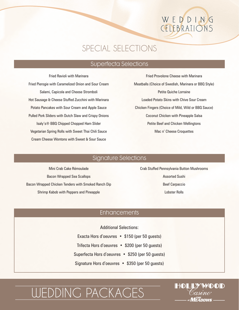# WEDDING CELEBRATIONS

### SPECIAL SELECTIONS

### Superfecta Selections

Fried Ravioli with Marinara Fried Pierogie with Caramelized Onion and Sour Cream Salami, Capicola and Cheese Stromboli Hot Sausage & Cheese Stuffed Zucchini with Marinara Potato Pancakes with Sour Cream and Apple Sauce Pulled Pork Sliders with Dutch Slaw and Crispy Onions Isaly's® BBQ Chipped Chopped Ham Slider Vegetarian Spring Rolls with Sweet Thai Chili Sauce Cream Cheese Wontons with Sweet & Sour Sauce

Fried Provolone Cheese with Marinara Meatballs (Choice of Swedish, Marinara or BBQ Style) Petite Quiche Lorraine Loaded Potato Skins with Chive Sour Cream Chicken Fingers (Choice of Mild, Wild or BBQ Sauce) Coconut Chicken with Pineapple Salsa Petite Beef and Chicken Wellingtons Mac n' Cheese Croquettes

### Signature Selections

Mini Crab Cake Rémoulade Bacon Wrapped Sea Scallops Bacon Wrapped Chicken Tenders with Smoked Ranch Dip Shrimp Kabob with Peppers and Pineapple

### Crab Stuffed Pennsylvania Button Mushrooms Assorted Sushi Beef Carpaccio Lobster Rolls

### **Enhancements**

Additional Selections:

Exacta Hors d'oeuvres • \$150 (per 50 guests) Trifecta Hors d'oeuvres • \$200 (per 50 guests) Superfecta Hors d'oeuvres • \$250 (per 50 guests) Signature Hors d'oeuvres • \$350 (per 50 guests)

# WEDDING PACKAGES

### HOLLYWOOD MEANNAS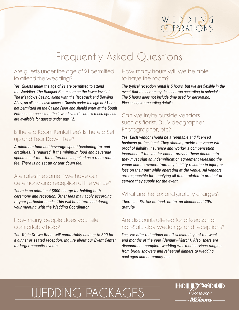### WEDDING CELEBRATIONS

# Frequently Asked Questions

### Are guests under the age of 21 permitted to attend the wedding?

Yes. Guests under the age of 21 are permitted to attend the Wedding. The Banquet Rooms are on the lower level of The Meadows Casino, along with the Racetrack and Bowling Alley, so all ages have access. Guests under the age of 21 are not permitted on the Casino Floor and should enter at the South Entrance for access to the lower level. Children's menu options are available for guests under age 12.

### Is there a Room Rental Fee? Is there a Set up and Tear Down Fee?

A minimum food and beverage spend (excluding tax and gratuities) is required. If the minimum food and beverage spend is not met, the difference is applied as a room rental fee. There is no set up or tear down fee.

### Are rates the same if we have our ceremony and reception at the venue?

There is an additional \$600 charge for holding both ceremony and reception. Other fees may apply according to your particular needs. This will be determined during your meeting with the Wedding Coordinator.

### How many people does your site comfortably hold?

The Triple Crown Room will comfortably hold up to 300 for a dinner or seated reception. Inquire about our Event Center for larger capacity events.

### How many hours will we be able to have the room?

The typical reception rental is 5 hours, but we are flexible in the event that the ceremony does not run according to schedule. The 5 hours does not include time used for decorating. Please inquire regarding details.

### Can we invite outside vendors such as florist, DJ, Videographer, Photographer, etc?

Yes. Each vendor should be a reputable and licensed business professional. They should provide the venue with proof of liability insurance and worker's compensation insurance. If the vendor cannot provide these documents they must sign an indemnification agreement releasing the venue and its owners from any liability resulting in injury or loss on their part while operating at the venue. All vendors are responsible for supplying all items related to product or service they supply for the event.

### What are the tax and gratuity charges?

There is a 6% tax on food, no tax on alcohol and 20% gratuity.

### Are discounts offered for off-season or non-Saturday weddings and receptions?

Yes, we offer reductions on off-season days of the week and months of the year (January-March). Also, there are discounts on complete wedding weekend services ranging from bridal showers and rehearsal dinners to wedding packages and ceremony fees.

HOLLYWOOD

 $\bm{M^{THE}_{F}\bm{A}}$ nnws

# WEDDING PACKAGES